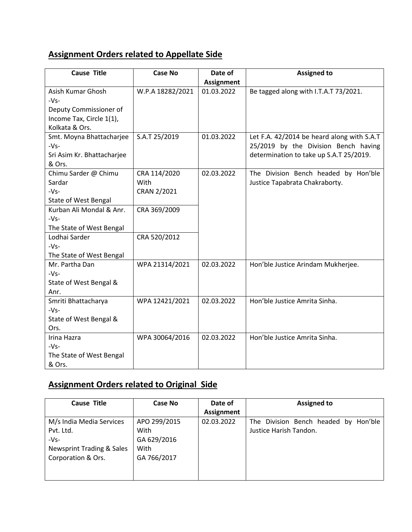## **Assignment Orders related to Appellate Side**

| <b>Cause Title</b>                                                                                                                                            | <b>Case No</b>                                                      | Date of<br><b>Assignment</b> | <b>Assigned to</b>                                                                                                            |
|---------------------------------------------------------------------------------------------------------------------------------------------------------------|---------------------------------------------------------------------|------------------------------|-------------------------------------------------------------------------------------------------------------------------------|
| Asish Kumar Ghosh<br>$-Vs-$<br>Deputy Commissioner of<br>Income Tax, Circle 1(1),<br>Kolkata & Ors.                                                           | W.P.A 18282/2021                                                    | 01.03.2022                   | Be tagged along with I.T.A.T 73/2021.                                                                                         |
| Smt. Moyna Bhattacharjee<br>$-Vs-$<br>Sri Asim Kr. Bhattacharjee<br>& Ors.                                                                                    | S.A.T 25/2019                                                       | 01.03.2022                   | Let F.A. 42/2014 be heard along with S.A.T<br>25/2019 by the Division Bench having<br>determination to take up S.A.T 25/2019. |
| Chimu Sarder @ Chimu<br>Sardar<br>$-Vs-$<br>State of West Bengal<br>Kurban Ali Mondal & Anr.<br>$-Vs-$<br>The State of West Bengal<br>Lodhai Sarder<br>$-Vs-$ | CRA 114/2020<br>With<br>CRAN 2/2021<br>CRA 369/2009<br>CRA 520/2012 | 02.03.2022                   | The Division Bench headed by Hon'ble<br>Justice Tapabrata Chakraborty.                                                        |
| The State of West Bengal<br>Mr. Partha Dan<br>$-Vs-$<br>State of West Bengal &<br>Anr.                                                                        | WPA 21314/2021                                                      | 02.03.2022                   | Hon'ble Justice Arindam Mukherjee.                                                                                            |
| Smriti Bhattacharya<br>$-Vs-$<br>State of West Bengal &<br>Ors.                                                                                               | WPA 12421/2021                                                      | 02.03.2022                   | Hon'ble Justice Amrita Sinha.                                                                                                 |
| Irina Hazra<br>$-Vs-$<br>The State of West Bengal<br>& Ors.                                                                                                   | WPA 30064/2016                                                      | 02.03.2022                   | Hon'ble Justice Amrita Sinha.                                                                                                 |

## **Assignment Orders related to Original Side**

| <b>Cause Title</b>        | Case No      | Date of    | <b>Assigned to</b>                      |
|---------------------------|--------------|------------|-----------------------------------------|
|                           |              | Assignment |                                         |
| M/s India Media Services  | APO 299/2015 | 02.03.2022 | The Division Bench headed by<br>Hon'ble |
| Pvt. Ltd.                 | With         |            | Justice Harish Tandon.                  |
| $-Vs-$                    | GA 629/2016  |            |                                         |
| Newsprint Trading & Sales | With         |            |                                         |
| Corporation & Ors.        | GA 766/2017  |            |                                         |
|                           |              |            |                                         |
|                           |              |            |                                         |